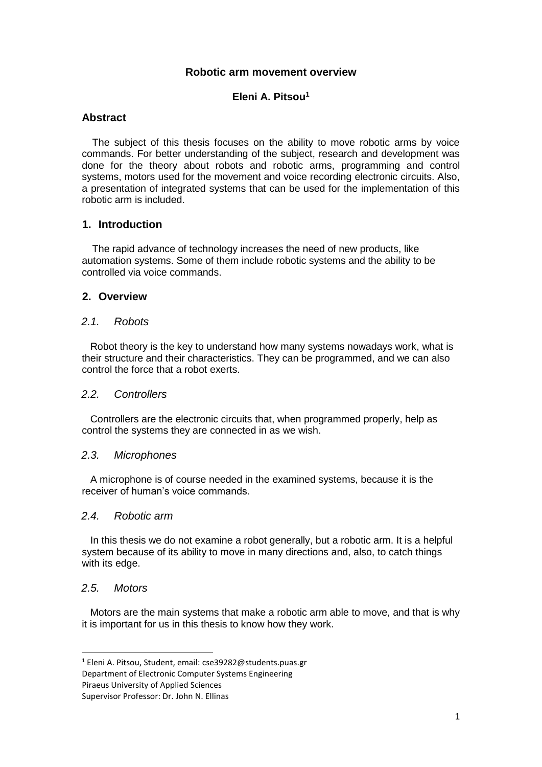#### **Robotic arm movement overview**

# **Eleni A. Pitsou<sup>1</sup>**

## **Abstract**

The subject of this thesis focuses on the ability to move robotic arms by voice commands. For better understanding of the subject, research and development was done for the theory about robots and robotic arms, programming and control systems, motors used for the movement and voice recording electronic circuits. Also, a presentation of integrated systems that can be used for the implementation of this robotic arm is included.

## **1. Introduction**

The rapid advance of technology increases the need of new products, like automation systems. Some of them include robotic systems and the ability to be controlled via voice commands.

## **2. Overview**

#### *2.1. Robots*

 Robot theory is the key to understand how many systems nowadays work, what is their structure and their characteristics. They can be programmed, and we can also control the force that a robot exerts.

#### *2.2. Controllers*

 Controllers are the electronic circuits that, when programmed properly, help as control the systems they are connected in as we wish.

#### *2.3. Microphones*

 A microphone is of course needed in the examined systems, because it is the receiver of human's voice commands.

#### *2.4. Robotic arm*

 In this thesis we do not examine a robot generally, but a robotic arm. It is a helpful system because of its ability to move in many directions and, also, to catch things with its edge.

# *2.5. Motors*

1

 Motors are the main systems that make a robotic arm able to move, and that is why it is important for us in this thesis to know how they work.

Department of Electronic Computer Systems Engineering

<sup>1</sup> Eleni A. Pitsou, Student, email: cse39282@students.puas.gr

Piraeus University of Applied Sciences

Supervisor Professor: Dr. John N. Ellinas